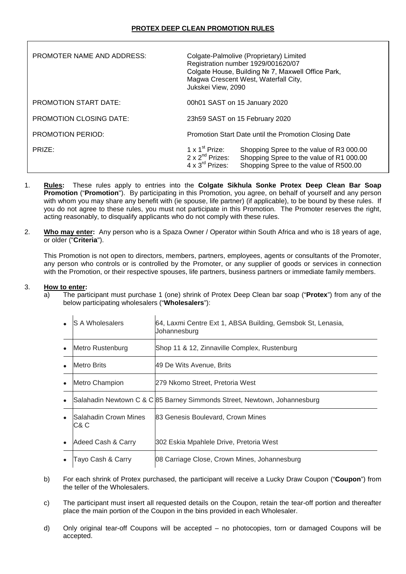| PROMOTER NAME AND ADDRESS:     | Colgate-Palmolive (Proprietary) Limited<br>Registration number 1929/001620/07<br>Colgate House, Building № 7, Maxwell Office Park,<br>Magwa Crescent West, Waterfall City,<br>Jukskei View, 2090 |                                                                                                                                |
|--------------------------------|--------------------------------------------------------------------------------------------------------------------------------------------------------------------------------------------------|--------------------------------------------------------------------------------------------------------------------------------|
| <b>PROMOTION START DATE:</b>   |                                                                                                                                                                                                  | 00h01 SAST on 15 January 2020                                                                                                  |
| <b>PROMOTION CLOSING DATE:</b> |                                                                                                                                                                                                  | 23h59 SAST on 15 February 2020                                                                                                 |
| <b>PROMOTION PERIOD:</b>       | Promotion Start Date until the Promotion Closing Date                                                                                                                                            |                                                                                                                                |
| PRIZE:                         | 1 x $1st$ Prize:<br>$2 \times 2^{nd}$ Prizes:<br>$4 \times 3^{\text{rd}}$ Prizes:                                                                                                                | Shopping Spree to the value of R3 000.00<br>Shopping Spree to the value of R1 000.00<br>Shopping Spree to the value of R500.00 |

- 1. **Rules:** These rules apply to entries into the **Colgate Sikhula Sonke Protex Deep Clean Bar Soap Promotion** ("**Promotion**"). By participating in this Promotion, you agree, on behalf of yourself and any person with whom you may share any benefit with (ie spouse, life partner) (if applicable), to be bound by these rules. If you do not agree to these rules, you must not participate in this Promotion. The Promoter reserves the right, acting reasonably, to disqualify applicants who do not comply with these rules.
- 2. **Who may enter:** Any person who is a Spaza Owner / Operator within South Africa and who is 18 years of age, or older ("**Criteria**").

This Promotion is not open to directors, members, partners, employees, agents or consultants of the Promoter, any person who controls or is controlled by the Promoter, or any supplier of goods or services in connection with the Promotion, or their respective spouses, life partners, business partners or immediate family members.

## 3. **How to enter:**

a) The participant must purchase 1 (one) shrink of Protex Deep Clean bar soap ("**Protex**") from any of the below participating wholesalers ("**Wholesalers**"):

| $\bullet$ | <b>S A Wholesalers</b>               | 64, Laxmi Centre Ext 1, ABSA Building, Gemsbok St, Lenasia,<br>Johannesburg |
|-----------|--------------------------------------|-----------------------------------------------------------------------------|
| $\bullet$ | Metro Rustenburg                     | Shop 11 & 12, Zinnaville Complex, Rustenburg                                |
| $\bullet$ | Metro Brits                          | 49 De Wits Avenue, Brits                                                    |
| $\bullet$ | Metro Champion                       | l279 Nkomo Street, Pretoria West                                            |
| $\bullet$ |                                      | Salahadin Newtown C & C 85 Barney Simmonds Street, Newtown, Johannesburg    |
| $\bullet$ | <b>Salahadin Crown Mines</b><br>C& C | 83 Genesis Boulevard, Crown Mines                                           |
| $\bullet$ | Adeed Cash & Carry                   | 302 Eskia Mpahlele Drive, Pretoria West                                     |
| $\bullet$ | Tayo Cash & Carry                    | 08 Carriage Close, Crown Mines, Johannesburg                                |

- b) For each shrink of Protex purchased, the participant will receive a Lucky Draw Coupon ("**Coupon**") from the teller of the Wholesalers.
- c) The participant must insert all requested details on the Coupon, retain the tear-off portion and thereafter place the main portion of the Coupon in the bins provided in each Wholesaler.
- d) Only original tear-off Coupons will be accepted no photocopies, torn or damaged Coupons will be accepted.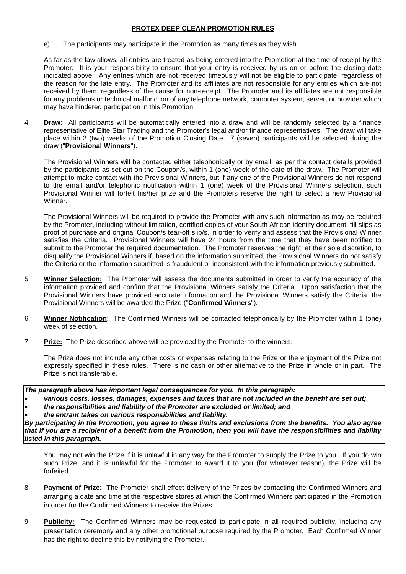## **PROTEX DEEP CLEAN PROMOTION RULES**

e) The participants may participate in the Promotion as many times as they wish.

As far as the law allows, all entries are treated as being entered into the Promotion at the time of receipt by the Promoter. It is your responsibility to ensure that your entry is received by us on or before the closing date indicated above. Any entries which are not received timeously will not be eligible to participate, regardless of the reason for the late entry. The Promoter and its affiliates are not responsible for any entries which are not received by them, regardless of the cause for non-receipt. The Promoter and its affiliates are not responsible for any problems or technical malfunction of any telephone network, computer system, server, or provider which may have hindered participation in this Promotion.

4. **Draw:** All participants will be automatically entered into a draw and will be randomly selected by a finance representative of Elite Star Trading and the Promoter's legal and/or finance representatives. The draw will take place within 2 (two) weeks of the Promotion Closing Date. 7 (seven) participants will be selected during the draw ("**Provisional Winners**").

The Provisional Winners will be contacted either telephonically or by email, as per the contact details provided by the participants as set out on the Coupon/s, within 1 (one) week of the date of the draw. The Promoter will attempt to make contact with the Provisional Winners, but if any one of the Provisional Winners do not respond to the email and/or telephonic notification within 1 (one) week of the Provisional Winners selection, such Provisional Winner will forfeit his/her prize and the Promoters reserve the right to select a new Provisional Winner.

The Provisional Winners will be required to provide the Promoter with any such information as may be required by the Promoter, including without limitation, certified copies of your South African identity document, till slips as proof of purchase and original Coupon/s tear-off slip/s, in order to verify and assess that the Provisional Winner satisfies the Criteria. Provisional Winners will have 24 hours from the time that they have been notified to submit to the Promoter the required documentation. The Promoter reserves the right, at their sole discretion, to disqualify the Provisional Winners if, based on the information submitted, the Provisional Winners do not satisfy the Criteria or the information submitted is fraudulent or inconsistent with the information previously submitted.

- 5. **Winner Selection:** The Promoter will assess the documents submitted in order to verify the accuracy of the information provided and confirm that the Provisional Winners satisfy the Criteria. Upon satisfaction that the Provisional Winners have provided accurate information and the Provisional Winners satisfy the Criteria, the Provisional Winners will be awarded the Prize ("**Confirmed Winners**").
- 6. **Winner Notification**: The Confirmed Winners will be contacted telephonically by the Promoter within 1 (one) week of selection.
- 7. **Prize:** The Prize described above will be provided by the Promoter to the winners.

The Prize does not include any other costs or expenses relating to the Prize or the enjoyment of the Prize not expressly specified in these rules. There is no cash or other alternative to the Prize in whole or in part. The Prize is not transferable.

*The paragraph above has important legal consequences for you. In this paragraph:*

- *various costs, losses, damages, expenses and taxes that are not included in the benefit are set out;*
- *the responsibilities and liability of the Promoter are excluded or limited; and*
- *the entrant takes on various responsibilities and liability.*

*By participating in the Promotion, you agree to these limits and exclusions from the benefits. You also agree that if you are a recipient of a benefit from the Promotion, then you will have the responsibilities and liability listed in this paragraph.*

You may not win the Prize if it is unlawful in any way for the Promoter to supply the Prize to you. If you do win such Prize, and it is unlawful for the Promoter to award it to you (for whatever reason), the Prize will be forfeited.

- 8. **Payment of Prize**: The Promoter shall effect delivery of the Prizes by contacting the Confirmed Winners and arranging a date and time at the respective stores at which the Confirmed Winners participated in the Promotion in order for the Confirmed Winners to receive the Prizes.
- 9. **Publicity:** The Confirmed Winners may be requested to participate in all required publicity, including any presentation ceremony and any other promotional purpose required by the Promoter. Each Confirmed Winner has the right to decline this by notifying the Promoter.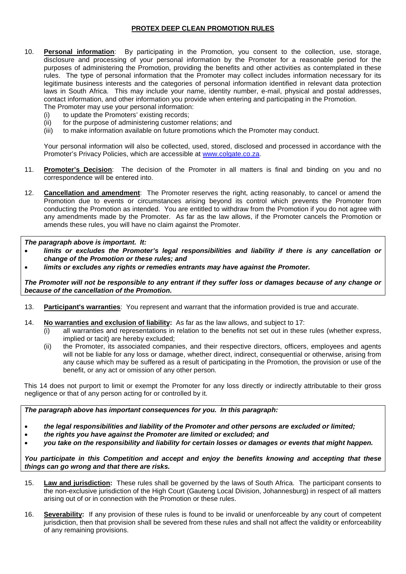## **PROTEX DEEP CLEAN PROMOTION RULES**

- 10. **Personal information**: By participating in the Promotion, you consent to the collection, use, storage, disclosure and processing of your personal information by the Promoter for a reasonable period for the purposes of administering the Promotion, providing the benefits and other activities as contemplated in these rules. The type of personal information that the Promoter may collect includes information necessary for its legitimate business interests and the categories of personal information identified in relevant data protection laws in South Africa. This may include your name, identity number, e-mail, physical and postal addresses, contact information, and other information you provide when entering and participating in the Promotion. The Promoter may use your personal information:
	- (i) to update the Promoters' existing records;
	- (ii) for the purpose of administering customer relations; and
	- (iii) to make information available on future promotions which the Promoter may conduct.

Your personal information will also be collected, used, stored, disclosed and processed in accordance with the Promoter's Privacy Policies, which are accessible at [www.colgate.co.za.](http://www.colgate.co.za/)

- 11. **Promoter's Decision**: The decision of the Promoter in all matters is final and binding on you and no correspondence will be entered into.
- 12. **Cancellation and amendment**: The Promoter reserves the right, acting reasonably, to cancel or amend the Promotion due to events or circumstances arising beyond its control which prevents the Promoter from conducting the Promotion as intended. You are entitled to withdraw from the Promotion if you do not agree with any amendments made by the Promoter. As far as the law allows, if the Promoter cancels the Promotion or amends these rules, you will have no claim against the Promoter.

*The paragraph above is important. It:*

- *limits or excludes the Promoter's legal responsibilities and liability if there is any cancellation or change of the Promotion or these rules; and*
- *limits or excludes any rights or remedies entrants may have against the Promoter.*

*The Promoter will not be responsible to any entrant if they suffer loss or damages because of any change or because of the cancellation of the Promotion.*

- 13. **Participant's warranties**: You represent and warrant that the information provided is true and accurate.
- <span id="page-2-0"></span>14. **No warranties and exclusion of liability:** As far as the law allows, and subject to [17:](#page-3-0)
	- (i) all warranties and representations in relation to the benefits not set out in these rules (whether express, implied or tacit) are hereby excluded;
	- (ii) the Promoter, its associated companies, and their respective directors, officers, employees and agents will not be liable for any loss or damage, whether direct, indirect, consequential or otherwise, arising from any cause which may be suffered as a result of participating in the Promotion, the provision or use of the benefit, or any act or omission of any other person.

This [14](#page-2-0) does not purport to limit or exempt the Promoter for any loss directly or indirectly attributable to their gross negligence or that of any person acting for or controlled by it.

*The paragraph above has important consequences for you. In this paragraph:*

- *the legal responsibilities and liability of the Promoter and other persons are excluded or limited;*
- *the rights you have against the Promoter are limited or excluded; and*
- *you take on the responsibility and liability for certain losses or damages or events that might happen.*

*You participate in this Competition and accept and enjoy the benefits knowing and accepting that these things can go wrong and that there are risks.*

- 15. **Law and jurisdiction:** These rules shall be governed by the laws of South Africa. The participant consents to the non-exclusive jurisdiction of the High Court (Gauteng Local Division, Johannesburg) in respect of all matters arising out of or in connection with the Promotion or these rules.
- 16. **Severability:** If any provision of these rules is found to be invalid or unenforceable by any court of competent jurisdiction, then that provision shall be severed from these rules and shall not affect the validity or enforceability of any remaining provisions.